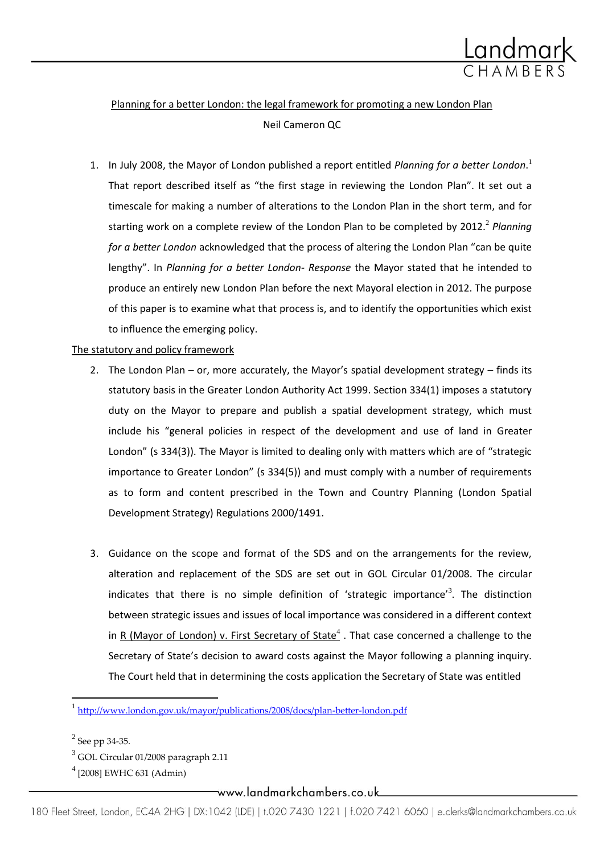

# Planning for a better London: the legal framework for promoting a new London Plan Neil Cameron QC

1. In July 2008, the Mayor of London published a report entitled *Planning for a better London*. 1 That report described itself as "the first stage in reviewing the London Plan". It set out a timescale for making a number of alterations to the London Plan in the short term, and for starting work on a complete review of the London Plan to be completed by 2012.<sup>2</sup> Planning *for a better London* acknowledged that the process of altering the London Plan "can be quite lengthy". In *Planning for a better London- Response* the Mayor stated that he intended to produce an entirely new London Plan before the next Mayoral election in 2012. The purpose of this paper is to examine what that process is, and to identify the opportunities which exist to influence the emerging policy.

## The statutory and policy framework

- 2. The London Plan or, more accurately, the Mayor's spatial development strategy finds its statutory basis in the Greater London Authority Act 1999. Section 334(1) imposes a statutory duty on the Mayor to prepare and publish a spatial development strategy, which must include his "general policies in respect of the development and use of land in Greater London" (s 334(3)). The Mayor is limited to dealing only with matters which are of "strategic importance to Greater London" (s 334(5)) and must comply with a number of requirements as to form and content prescribed in the Town and Country Planning (London Spatial Development Strategy) Regulations 2000/1491.
- 3. Guidance on the scope and format of the SDS and on the arrangements for the review, alteration and replacement of the SDS are set out in GOL Circular 01/2008. The circular indicates that there is no simple definition of 'strategic importance'<sup>3</sup>. The distinction between strategic issues and issues of local importance was considered in a different context in R (Mayor of London) v. First Secretary of State $^4$ . That case concerned a challenge to the Secretary of State's decision to award costs against the Mayor following a planning inquiry. The Court held that in determining the costs application the Secretary of State was entitled

\_www.landmarkchambers.co.uk\_

<sup>&</sup>lt;sup>1</sup><br><http://www.london.gov.uk/mayor/publications/2008/docs/plan-better-london.pdf>

 $2$  See pp 34-35.

<sup>3</sup> GOL Circular 01/2008 paragraph 2.11

<sup>4</sup> [2008] EWHC 631 (Admin)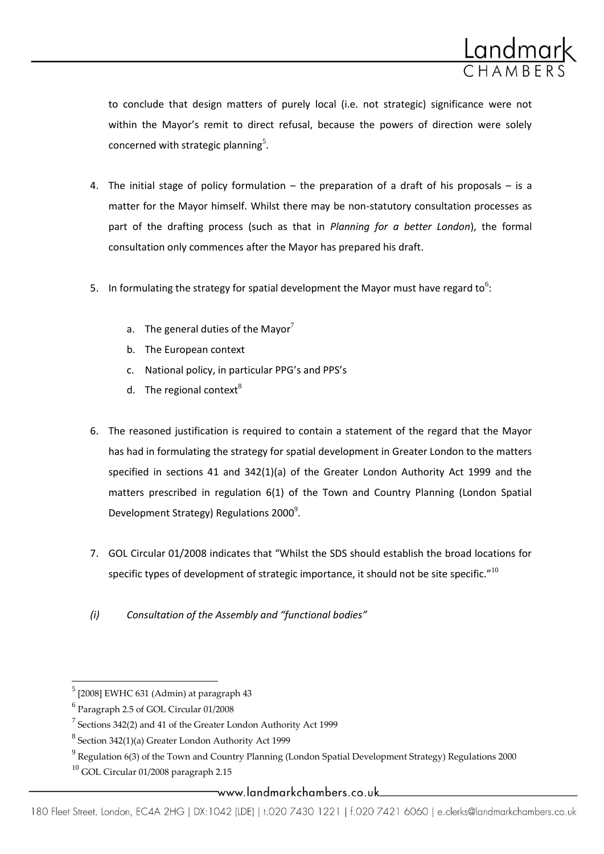

to conclude that design matters of purely local (i.e. not strategic) significance were not within the Mayor's remit to direct refusal, because the powers of direction were solely concerned with strategic planning<sup>5</sup>.

- 4. The initial stage of policy formulation  $-$  the preparation of a draft of his proposals  $-$  is a matter for the Mayor himself. Whilst there may be non-statutory consultation processes as part of the drafting process (such as that in *Planning for a better London*), the formal consultation only commences after the Mayor has prepared his draft.
- 5. In formulating the strategy for spatial development the Mayor must have regard to<sup>6</sup>:
	- a. The general duties of the Mayor<sup>7</sup>
	- b. The European context
	- c. National policy, in particular PPG's and PPS's
	- d. The regional context $^{8}$
- 6. The reasoned justification is required to contain a statement of the regard that the Mayor has had in formulating the strategy for spatial development in Greater London to the matters specified in sections 41 and 342(1)(a) of the Greater London Authority Act 1999 and the matters prescribed in regulation 6(1) of the Town and Country Planning (London Spatial Development Strategy) Regulations 2000 $^9$ .
- 7. GOL Circular 01/2008 indicates that "Whilst the SDS should establish the broad locations for specific types of development of strategic importance, it should not be site specific." $10$
- *(i) Consultation of the Assembly and "functional bodies"*

 $\overline{a}$ 

 $^5$  [2008] EWHC 631 (Admin) at paragraph 43

<sup>6</sup> Paragraph 2.5 of GOL Circular 01/2008

 $^7$  Sections 342(2) and 41 of the Greater London Authority Act 1999

 $8$  Section 342(1)(a) Greater London Authority Act 1999

 $^9$  Regulation 6(3) of the Town and Country Planning (London Spatial Development Strategy) Regulations 2000

 $10$  GOL Circular 01/2008 paragraph 2.15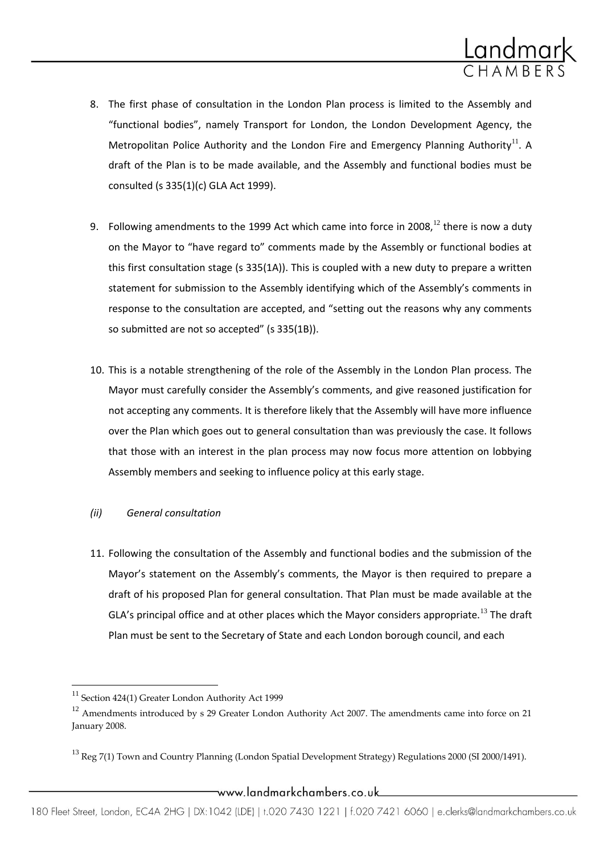

- 8. The first phase of consultation in the London Plan process is limited to the Assembly and "functional bodies", namely Transport for London, the London Development Agency, the Metropolitan Police Authority and the London Fire and Emergency Planning Authority<sup>11</sup>. A draft of the Plan is to be made available, and the Assembly and functional bodies must be consulted (s 335(1)(c) GLA Act 1999).
- 9. Following amendments to the 1999 Act which came into force in 2008,<sup>12</sup> there is now a duty on the Mayor to "have regard to" comments made by the Assembly or functional bodies at this first consultation stage (s 335(1A)). This is coupled with a new duty to prepare a written statement for submission to the Assembly identifying which of the Assembly's comments in response to the consultation are accepted, and "setting out the reasons why any comments so submitted are not so accepted" (s 335(1B)).
- 10. This is a notable strengthening of the role of the Assembly in the London Plan process. The Mayor must carefully consider the Assembly's comments, and give reasoned justification for not accepting any comments. It is therefore likely that the Assembly will have more influence over the Plan which goes out to general consultation than was previously the case. It follows that those with an interest in the plan process may now focus more attention on lobbying Assembly members and seeking to influence policy at this early stage.

## *(ii) General consultation*

11. Following the consultation of the Assembly and functional bodies and the submission of the Mayor's statement on the Assembly's comments, the Mayor is then required to prepare a draft of his proposed Plan for general consultation. That Plan must be made available at the GLA's principal office and at other places which the Mayor considers appropriate.<sup>13</sup> The draft Plan must be sent to the Secretary of State and each London borough council, and each

 $\overline{a}$ 

<sup>&</sup>lt;sup>11</sup> Section 424(1) Greater London Authority Act 1999

 $12$  Amendments introduced by s 29 Greater London Authority Act 2007. The amendments came into force on 21 January 2008.

<sup>&</sup>lt;sup>13</sup> Reg 7(1) Town and Country Planning (London Spatial Development Strategy) Regulations 2000 (SI 2000/1491).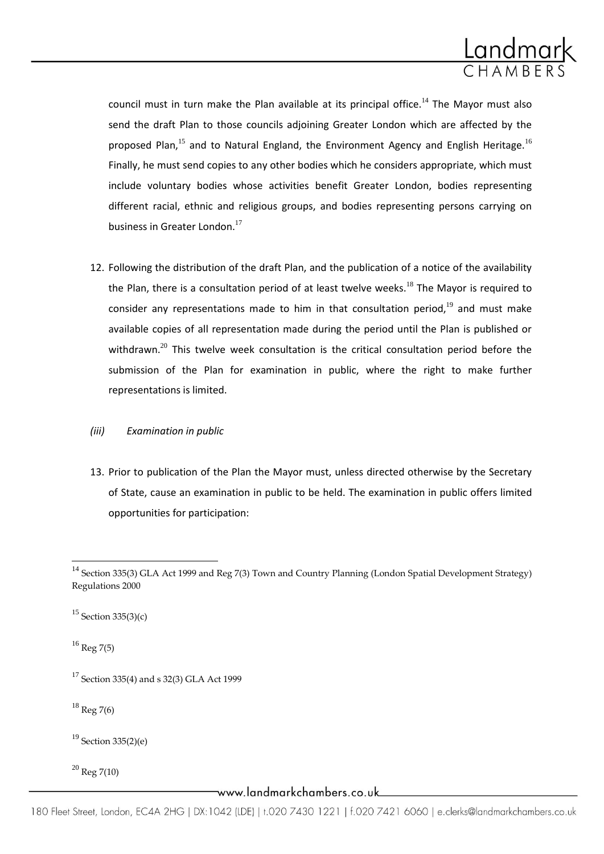

council must in turn make the Plan available at its principal office.<sup>14</sup> The Mayor must also send the draft Plan to those councils adjoining Greater London which are affected by the proposed Plan, $^{15}$  and to Natural England, the Environment Agency and English Heritage.<sup>16</sup> Finally, he must send copies to any other bodies which he considers appropriate, which must include voluntary bodies whose activities benefit Greater London, bodies representing different racial, ethnic and religious groups, and bodies representing persons carrying on business in Greater London.<sup>17</sup>

12. Following the distribution of the draft Plan, and the publication of a notice of the availability the Plan, there is a consultation period of at least twelve weeks.<sup>18</sup> The Mayor is required to consider any representations made to him in that consultation period, $19$  and must make available copies of all representation made during the period until the Plan is published or withdrawn.<sup>20</sup> This twelve week consultation is the critical consultation period before the submission of the Plan for examination in public, where the right to make further representations is limited.

#### *(iii) Examination in public*

13. Prior to publication of the Plan the Mayor must, unless directed otherwise by the Secretary of State, cause an examination in public to be held. The examination in public offers limited opportunities for participation:

 $16$  Reg 7(5)

 $\overline{a}$ 

 $18$  Reg 7(6)

<sup>19</sup> Section 335(2)(e)

 $^{20}$  Reg 7(10)

www.landmarkchambers.co.uk\_

<sup>&</sup>lt;sup>14</sup> Section 335(3) GLA Act 1999 and Reg 7(3) Town and Country Planning (London Spatial Development Strategy) Regulations 2000

 $15$  Section 335(3)(c)

 $17$  Section 335(4) and s 32(3) GLA Act 1999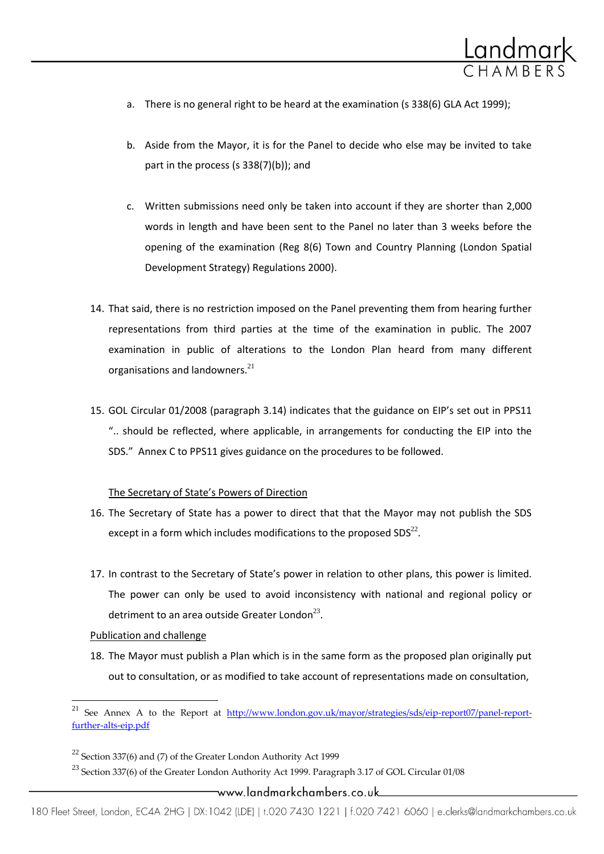

- a. There is no general right to be heard at the examination (s 338(6) GLA Act 1999);
- b. Aside from the Mayor, it is for the Panel to decide who else may be invited to take part in the process (s 338(7)(b)); and
- c. Written submissions need only be taken into account if they are shorter than 2,000 words in length and have been sent to the Panel no later than 3 weeks before the opening of the examination (Reg 8(6) Town and Country Planning (London Spatial Development Strategy) Regulations 2000).
- 14. That said, there is no restriction imposed on the Panel preventing them from hearing further representations from third parties at the time of the examination in public. The 2007 examination in public of alterations to the London Plan heard from many different organisations and landowners. $^{21}$
- 15. GOL Circular 01/2008 (paragraph 3.14) indicates that the guidance on EIP's set out in PPS11 ".. should be reflected, where applicable, in arrangements for conducting the EIP into the SDS." Annex C to PPS11 gives guidance on the procedures to be followed.

#### The Secretary of State's Powers of Direction

- 16. The Secretary of State has a power to direct that that the Mayor may not publish the SDS except in a form which includes modifications to the proposed  $SDS<sup>22</sup>$ .
- 17. In contrast to the Secretary of State's power in relation to other plans, this power is limited. The power can only be used to avoid inconsistency with national and regional policy or detriment to an area outside Greater London $^{23}$ .

#### Publication and challenge

l

18. The Mayor must publish a Plan which is in the same form as the proposed plan originally put out to consultation, or as modified to take account of representations made on consultation,

\_www.landmarkchambers.co.uk

<sup>&</sup>lt;sup>21</sup> See Annex A to the Report at [http://www.london.gov.uk/mayor/strategies/sds/eip-report07/panel-report](http://www.london.gov.uk/mayor/strategies/sds/eip-report07/panel-report-further-alts-eip.pdf)[further-alts-eip.pdf](http://www.london.gov.uk/mayor/strategies/sds/eip-report07/panel-report-further-alts-eip.pdf)

 $22$  Section 337(6) and (7) of the Greater London Authority Act 1999

 $^{23}$  Section 337(6) of the Greater London Authority Act 1999. Paragraph 3.17 of GOL Circular 01/08

<sup>180</sup> Fleet Street, London, EC4A 2HG | DX:1042 (LDE) | t.020 7430 1221 | f.020 7421 6060 | e.clerks@landmarkchambers.co.uk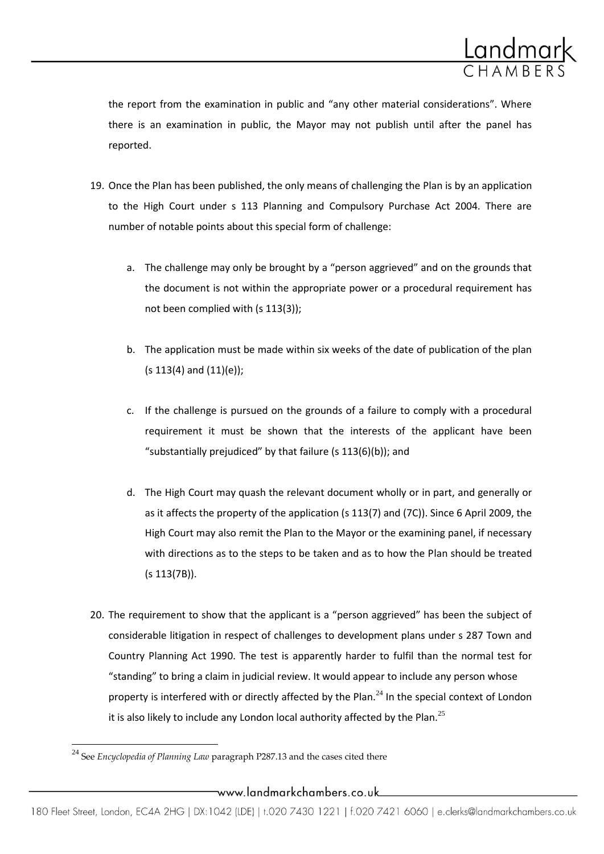

the report from the examination in public and "any other material considerations". Where there is an examination in public, the Mayor may not publish until after the panel has reported.

- 19. Once the Plan has been published, the only means of challenging the Plan is by an application to the High Court under s 113 Planning and Compulsory Purchase Act 2004. There are number of notable points about this special form of challenge:
	- a. The challenge may only be brought by a "person aggrieved" and on the grounds that the document is not within the appropriate power or a procedural requirement has not been complied with (s 113(3));
	- b. The application must be made within six weeks of the date of publication of the plan (s 113(4) and (11)(e));
	- c. If the challenge is pursued on the grounds of a failure to comply with a procedural requirement it must be shown that the interests of the applicant have been "substantially prejudiced" by that failure (s 113(6)(b)); and
	- d. The High Court may quash the relevant document wholly or in part, and generally or as it affects the property of the application (s 113(7) and (7C)). Since 6 April 2009, the High Court may also remit the Plan to the Mayor or the examining panel, if necessary with directions as to the steps to be taken and as to how the Plan should be treated (s 113(7B)).
- 20. The requirement to show that the applicant is a "person aggrieved" has been the subject of considerable litigation in respect of challenges to development plans under s 287 Town and Country Planning Act 1990. The test is apparently harder to fulfil than the normal test for "standing" to bring a claim in judicial review. It would appear to include any person whose property is interfered with or directly affected by the Plan. $^{24}$  In the special context of London it is also likely to include any London local authority affected by the Plan.<sup>25</sup>

 $\overline{\phantom{a}}$ 

<sup>24</sup> See *Encyclopedia of Planning Law* paragraph P287.13 and the cases cited there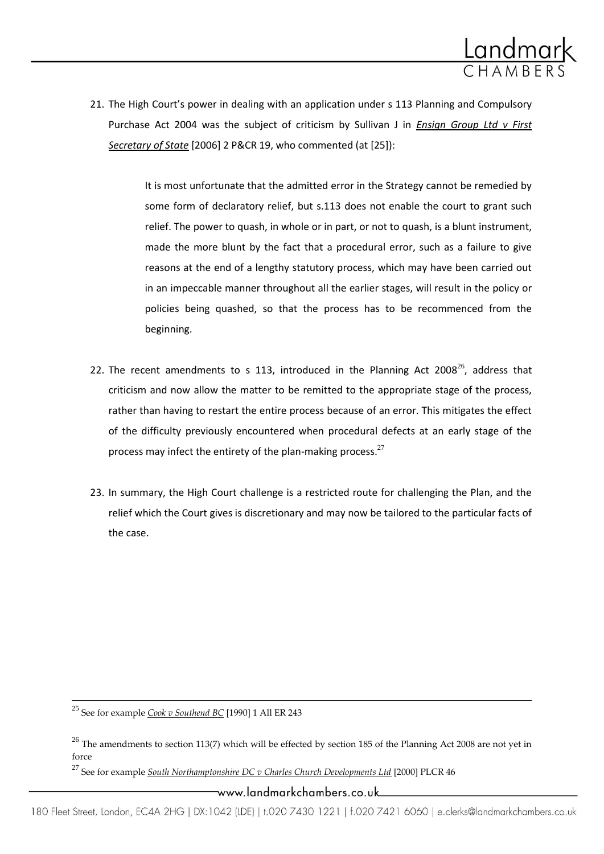

21. The High Court's power in dealing with an application under s 113 Planning and Compulsory Purchase Act 2004 was the subject of criticism by Sullivan J in *Ensign Group Ltd v First Secretary of State* [2006] 2 P&CR 19, who commented (at [25]):

> It is most unfortunate that the admitted error in the Strategy cannot be remedied by some form of declaratory relief, but s.113 does not enable the court to grant such relief. The power to quash, in whole or in part, or not to quash, is a blunt instrument, made the more blunt by the fact that a procedural error, such as a failure to give reasons at the end of a lengthy statutory process, which may have been carried out in an impeccable manner throughout all the earlier stages, will result in the policy or policies being quashed, so that the process has to be recommenced from the beginning.

- 22. The recent amendments to s 113, introduced in the Planning Act 2008 $^{26}$ , address that criticism and now allow the matter to be remitted to the appropriate stage of the process, rather than having to restart the entire process because of an error. This mitigates the effect of the difficulty previously encountered when procedural defects at an early stage of the process may infect the entirety of the plan-making process. $27$
- 23. In summary, the High Court challenge is a restricted route for challenging the Plan, and the relief which the Court gives is discretionary and may now be tailored to the particular facts of the case.

<sup>25</sup> See for example *Cook v Southend BC* [1990] 1 All ER 243

l

<sup>27</sup> See for example *South Northamptonshire DC v Charles Church Developments Ltd* [2000] PLCR 46

ــwww.landmarkchambers.co.uk

 $^{26}$  The amendments to section 113(7) which will be effected by section 185 of the Planning Act 2008 are not yet in force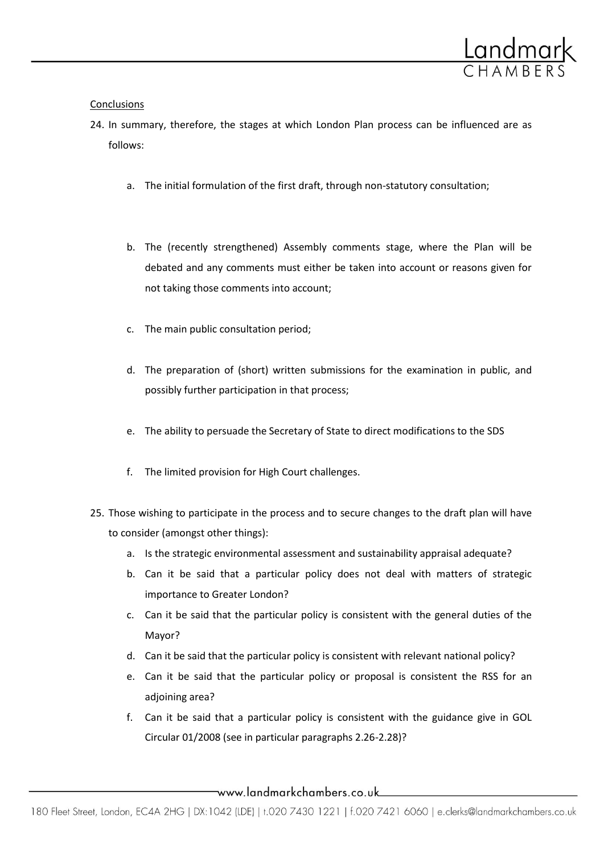

## **Conclusions**

- 24. In summary, therefore, the stages at which London Plan process can be influenced are as follows:
	- a. The initial formulation of the first draft, through non-statutory consultation;
	- b. The (recently strengthened) Assembly comments stage, where the Plan will be debated and any comments must either be taken into account or reasons given for not taking those comments into account;
	- c. The main public consultation period;
	- d. The preparation of (short) written submissions for the examination in public, and possibly further participation in that process;
	- e. The ability to persuade the Secretary of State to direct modifications to the SDS
	- f. The limited provision for High Court challenges.
- 25. Those wishing to participate in the process and to secure changes to the draft plan will have to consider (amongst other things):
	- a. Is the strategic environmental assessment and sustainability appraisal adequate?
	- b. Can it be said that a particular policy does not deal with matters of strategic importance to Greater London?
	- c. Can it be said that the particular policy is consistent with the general duties of the Mayor?
	- d. Can it be said that the particular policy is consistent with relevant national policy?
	- e. Can it be said that the particular policy or proposal is consistent the RSS for an adjoining area?
	- f. Can it be said that a particular policy is consistent with the guidance give in GOL Circular 01/2008 (see in particular paragraphs 2.26-2.28)?

www.landmarkchambers.co.uk\_\_\_\_